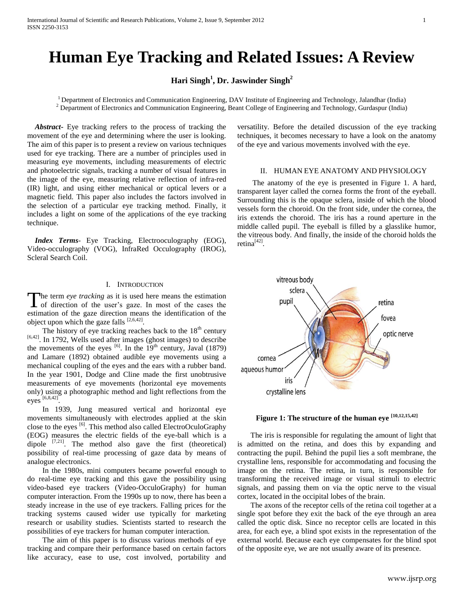# **Human Eye Tracking and Related Issues: A Review**

# **Hari Singh<sup>1</sup> , Dr. Jaswinder Singh<sup>2</sup>**

 $1$  Department of Electronics and Communication Engineering, DAV Institute of Engineering and Technology, Jalandhar (India) <sup>2</sup> Department of Electronics and Communication Engineering, Beant College of Engineering and Technology, Gurdaspur (India)

 *Abstract***-** Eye tracking refers to the process of tracking the movement of the eye and determining where the user is looking. The aim of this paper is to present a review on various techniques used for eye tracking. There are a number of principles used in measuring eye movements, including measurements of electric and photoelectric signals, tracking a number of visual features in the image of the eye, measuring relative reflection of infra-red (IR) light, and using either mechanical or optical levers or a magnetic field. This paper also includes the factors involved in the selection of a particular eye tracking method. Finally, it includes a light on some of the applications of the eye tracking technique.

 *Index Terms*- Eye Tracking, Electrooculography (EOG), Video-occulography (VOG), InfraRed Occulography (IROG), Scleral Search Coil.

### I. INTRODUCTION

he term *eye tracking* as it is used here means the estimation The term *eye tracking* as it is used here means the estimation of direction of the user's gaze. In most of the cases the estimation of the gaze direction means the identification of the object upon which the gaze falls  $[2,6,42]$ .

The history of eye tracking reaches back to the  $18<sup>th</sup>$  century  $[6,42]$ . In 1792, Wells used after images (ghost images) to describe the movements of the eyes  $^{[6]}$ . In the 19<sup>th</sup> century, Javal (1879) and Lamare (1892) obtained audible eye movements using a mechanical coupling of the eyes and the ears with a rubber band. In the year 1901, Dodge and Cline made the first unobtrusive measurements of eye movements (horizontal eye movements only) using a photographic method and light reflections from the eyes [6,8,42] .

 In 1939, Jung measured vertical and horizontal eye movements simultaneously with electrodes applied at the skin close to the eyes  $\left[6\right]$ . This method also called ElectroOculoGraphy (EOG) measures the electric fields of the eye-ball which is a dipole  $[7,21]$ . The method also gave the first (theoretical) possibility of real-time processing of gaze data by means of analogue electronics.

 In the 1980s, mini computers became powerful enough to do real-time eye tracking and this gave the possibility using video-based eye trackers (Video-OcculoGraphy) for human computer interaction. From the 1990s up to now, there has been a steady increase in the use of eye trackers. Falling prices for the tracking systems caused wider use typically for marketing research or usability studies. Scientists started to research the possibilities of eye trackers for human computer interaction.

 The aim of this paper is to discuss various methods of eye tracking and compare their performance based on certain factors like accuracy, ease to use, cost involved, portability and versatility. Before the detailed discussion of the eye tracking techniques, it becomes necessary to have a look on the anatomy of the eye and various movements involved with the eye.

# II. HUMAN EYE ANATOMY AND PHYSIOLOGY

 The anatomy of the eye is presented in Figure 1. A hard, transparent layer called the cornea forms the front of the eyeball. Surrounding this is the opaque sclera, inside of which the blood vessels form the choroid. On the front side, under the cornea, the iris extends the choroid. The iris has a round aperture in the middle called pupil. The eyeball is filled by a glasslike humor, the vitreous body. And finally, the inside of the choroid holds the retina<sup>[42]</sup>.



**Figure 1: The structure of the human eye [10,12,15,42]**

 The iris is responsible for regulating the amount of light that is admitted on the retina, and does this by expanding and contracting the pupil. Behind the pupil lies a soft membrane, the crystalline lens, responsible for accommodating and focusing the image on the retina. The retina, in turn, is responsible for transforming the received image or visual stimuli to electric signals, and passing them on via the optic nerve to the visual cortex, located in the occipital lobes of the brain.

 The axons of the receptor cells of the retina coil together at a single spot before they exit the back of the eye through an area called the optic disk. Since no receptor cells are located in this area, for each eye, a blind spot exists in the representation of the external world. Because each eye compensates for the blind spot of the opposite eye, we are not usually aware of its presence.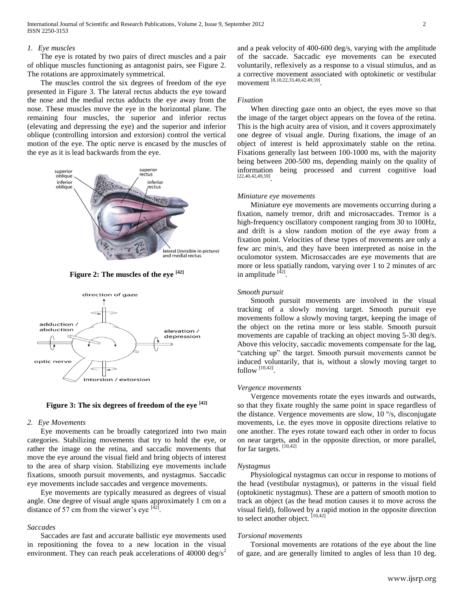#### *1. Eye muscles*

 The eye is rotated by two pairs of direct muscles and a pair of oblique muscles functioning as antagonist pairs, see Figure 2. The rotations are approximately symmetrical.

 The muscles control the six degrees of freedom of the eye presented in Figure 3. The lateral rectus abducts the eye toward the nose and the medial rectus adducts the eye away from the nose. These muscles move the eye in the horizontal plane. The remaining four muscles, the superior and inferior rectus (elevating and depressing the eye) and the superior and inferior oblique (controlling intorsion and extorsion) control the vertical motion of the eye. The optic nerve is encased by the muscles of the eye as it is lead backwards from the eye.



**Figure 2: The muscles of the eye [42]**



**Figure 3: The six degrees of freedom of the eye [42]**

# *2. Eye Movements*

 Eye movements can be broadly categorized into two main categories. Stabilizing movements that try to hold the eye, or rather the image on the retina, and saccadic movements that move the eye around the visual field and bring objects of interest to the area of sharp vision. Stabilizing eye movements include fixations, smooth pursuit movements, and nystagmus. Saccadic eye movements include saccades and vergence movements.

 Eye movements are typically measured as degrees of visual angle. One degree of visual angle spans approximately 1 cm on a distance of 57 cm from the viewer's eye  $142$ .

#### *Saccades*

 Saccades are fast and accurate ballistic eye movements used in repositioning the fovea to a new location in the visual environment. They can reach peak accelerations of 40000 deg/s<sup>2</sup> and a peak velocity of 400-600 deg/s, varying with the amplitude of the saccade. Saccadic eye movements can be executed voluntarily, reflexively as a response to a visual stimulus, and as a corrective movement associated with optokinetic or vestibular movement [8,10,22,33,40,42,49,59] .

# *Fixation*

 When directing gaze onto an object, the eyes move so that the image of the target object appears on the fovea of the retina. This is the high acuity area of vision, and it covers approximately one degree of visual angle. During fixations, the image of an object of interest is held approximately stable on the retina. Fixations generally last between 100-1000 ms, with the majority being between 200-500 ms, depending mainly on the quality of information being processed and current cognitive load [22,40,42,49,59] .

#### *Miniature eye movements*

 Miniature eye movements are movements occurring during a fixation, namely tremor, drift and microsaccades. Tremor is a high-frequency oscillatory component ranging from 30 to 100Hz, and drift is a slow random motion of the eye away from a fixation point. Velocities of these types of movements are only a few arc min/s, and they have been interpreted as noise in the oculomotor system. Microsaccades are eye movements that are more or less spatially random, varying over 1 to 2 minutes of arc in amplitude <sup>[42]</sup>.

## *Smooth pursuit*

 Smooth pursuit movements are involved in the visual tracking of a slowly moving target. Smooth pursuit eye movements follow a slowly moving target, keeping the image of the object on the retina more or less stable. Smooth pursuit movements are capable of tracking an object moving 5-30 deg/s. Above this velocity, saccadic movements compensate for the lag, "catching up" the target. Smooth pursuit movements cannot be induced voluntarily, that is, without a slowly moving target to follow  $^{[10,42]}$ .

#### *Vergence movements*

 Vergence movements rotate the eyes inwards and outwards, so that they fixate roughly the same point in space regardless of the distance. Vergence movements are slow, 10 º/s, disconjugate movements, i.e. the eyes move in opposite directions relative to one another. The eyes rotate toward each other in order to focus on near targets, and in the opposite direction, or more parallel, for far targets. [10,42]

# *Nystagmus*

 Physiological nystagmus can occur in response to motions of the head (vestibular nystagmus), or patterns in the visual field (optokinetic nystagmus). These are a pattern of smooth motion to track an object (as the head motion causes it to move across the visual field), followed by a rapid motion in the opposite direction to select another object.  $[10, 42]$ 

#### *Torsional movements*

 Torsional movements are rotations of the eye about the line of gaze, and are generally limited to angles of less than 10 deg.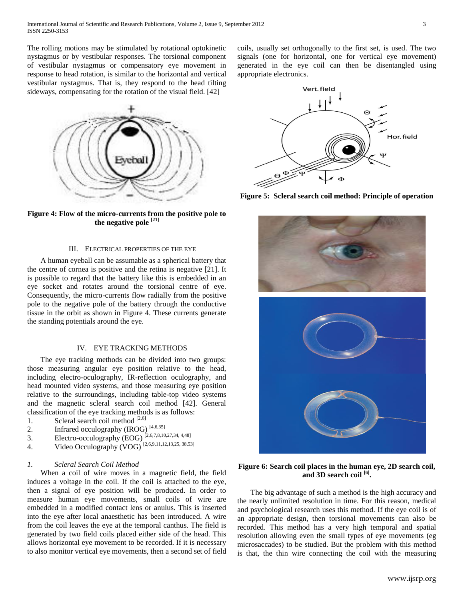The rolling motions may be stimulated by rotational optokinetic nystagmus or by vestibular responses. The torsional component of vestibular nystagmus or compensatory eye movement in response to head rotation, is similar to the horizontal and vertical vestibular nystagmus. That is, they respond to the head tilting sideways, compensating for the rotation of the visual field. [42]



**Figure 4: Flow of the micro-currents from the positive pole to the negative pole [21]**

# III. ELECTRICAL PROPERTIES OF THE EYE

 A human eyeball can be assumable as a spherical battery that the centre of cornea is positive and the retina is negative [21]. It is possible to regard that the battery like this is embedded in an eye socket and rotates around the torsional centre of eye. Consequently, the micro-currents flow radially from the positive pole to the negative pole of the battery through the conductive tissue in the orbit as shown in Figure 4. These currents generate the standing potentials around the eye.

## IV. EYE TRACKING METHODS

 The eye tracking methods can be divided into two groups: those measuring angular eye position relative to the head, including electro-oculography, IR-reflection oculography, and head mounted video systems, and those measuring eye position relative to the surroundings, including table-top video systems and the magnetic scleral search coil method [42]. General classification of the eye tracking methods is as follows:

- 1. Scleral search coil method  $[2,6]$
- 2. Infrared occulography (IROG)  $[4,6,35]$
- 3. Electro-occulography (EOG)  $^{[2,6,7,8,10,27,34,4,48]}$
- 4. Video Occulography (VOG)  $^{[2,6,9,11,12,13,25,38,53]}$

#### *1. Scleral Search Coil Method*

 When a coil of wire moves in a magnetic field, the field induces a voltage in the coil. If the coil is attached to the eye, then a signal of eye position will be produced. In order to measure human eye movements, small coils of wire are embedded in a modified contact lens or anulus. This is inserted into the eye after local anaesthetic has been introduced. A wire from the coil leaves the eye at the temporal canthus. The field is generated by two field coils placed either side of the head. This allows horizontal eye movement to be recorded. If it is necessary to also monitor vertical eye movements, then a second set of field coils, usually set orthogonally to the first set, is used. The two signals (one for horizontal, one for vertical eye movement) generated in the eye coil can then be disentangled using appropriate electronics.



**Figure 5: Scleral search coil method: Principle of operation**



**Figure 6: Search coil places in the human eye, 2D search coil, and 3D search coil [6] .**

 The big advantage of such a method is the high accuracy and the nearly unlimited resolution in time. For this reason, medical and psychological research uses this method. If the eye coil is of an appropriate design, then torsional movements can also be recorded. This method has a very high temporal and spatial resolution allowing even the small types of eye movements (eg microsaccades) to be studied. But the problem with this method is that, the thin wire connecting the coil with the measuring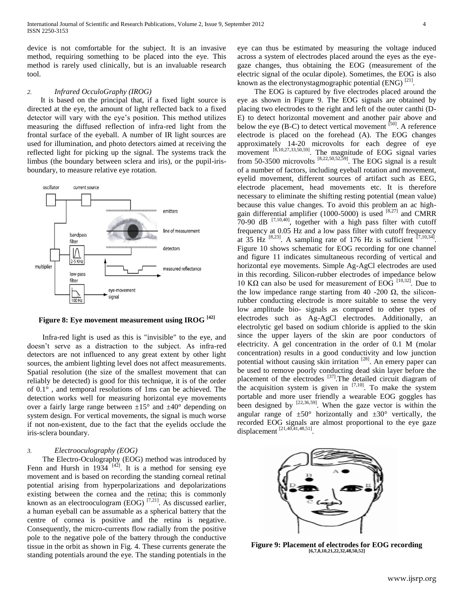device is not comfortable for the subject. It is an invasive method, requiring something to be placed into the eye. This method is rarely used clinically, but is an invaluable research tool.

#### *2. Infrared OcculoGraphy (IROG)*

 It is based on the principal that, if a fixed light source is directed at the eye, the amount of light reflected back to a fixed detector will vary with the eye's position. This method utilizes measuring the diffused reflection of infra-red light from the frontal surface of the eyeball. A number of IR light sources are used for illumination, and photo detectors aimed at receiving the reflected light for picking up the signal. The systems track the limbus (the boundary between sclera and iris), or the pupil-irisboundary, to measure relative eye rotation.



**Figure 8: Eye movement measurement using IROG [42]**

 Infra-red light is used as this is "invisible" to the eye, and doesn't serve as a distraction to the subject. As infra-red detectors are not influenced to any great extent by other light sources, the ambient lighting level does not affect measurements. Spatial resolution (the size of the smallest movement that can reliably be detected) is good for this technique, it is of the order of 0.1° , and temporal resolutions of 1ms can be achieved. The detection works well for measuring horizontal eye movements over a fairly large range between  $\pm 15^{\circ}$  and  $\pm 40^{\circ}$  depending on system design. For vertical movements, the signal is much worse if not non-existent, due to the fact that the eyelids occlude the iris-sclera boundary.

# *3. Electrooculography (EOG)*

 The Electro-Oculography (EOG) method was introduced by Fenn and Hursh in 1934  $[42]$ . It is a method for sensing eye movement and is based on recording the standing corneal retinal potential arising from hyperpolarizations and depolarizations existing between the cornea and the retina; this is commonly known as an electrooculogram (EOG)  $^{[7,21]}$ . As discussed earlier, a human eyeball can be assumable as a spherical battery that the centre of cornea is positive and the retina is negative. Consequently, the micro-currents flow radially from the positive pole to the negative pole of the battery through the conductive tissue in the orbit as shown in Fig. 4. These currents generate the standing potentials around the eye. The standing potentials in the

eye can thus be estimated by measuring the voltage induced across a system of electrodes placed around the eyes as the eyegaze changes, thus obtaining the EOG (measurement of the electric signal of the ocular dipole). Sometimes, the EOG is also known as the electronystagmographic potential (ENG)  $^{[21]}$ .

 The EOG is captured by five electrodes placed around the eye as shown in Figure 9. The EOG signals are obtained by placing two electrodes to the right and left of the outer canthi (D-E) to detect horizontal movement and another pair above and below the eye (B-C) to detect vertical movement  $[50]$ . A reference electrode is placed on the forehead (A). The EOG changes approximately 14-20 microvolts for each degree of eye movement  $[8,10,27,33,50,59]$ . The magnitude of EOG signal varies from 50-3500 microvolts  $[8,22,50,52,59]$ . The EOG signal is a result of a number of factors, including eyeball rotation and movement, eyelid movement, different sources of artifact such as EEG, electrode placement, head movements etc. It is therefore necessary to eliminate the shifting resting potential (mean value) because this value changes. To avoid this problem an ac highgain differential amplifier (1000-5000) is used  $^{[8,27]}$  and CMRR  $70-90$  dB  $^{[7,10,40]}$ , together with a high pass filter with cutoff frequency at 0.05 Hz and a low pass filter with cutoff frequency at  $35$  Hz  $^{[8,23]}$ . A sampling rate of 176 Hz is sufficient  $^{[7,10,34]}$ . Figure 10 shows schematic for EOG recording for one channel and figure 11 indicates simultaneous recording of vertical and horizontal eye movements. Simple Ag-AgCl electrodes are used in this recording. Silicon-rubber electrodes of impedance below 10 KΩ can also be used for measurement of EOG  $^{[10,32]}$ . Due to the low impedance range starting from 40 -200  $\Omega$ , the siliconrubber conducting electrode is more suitable to sense the very low amplitude bio- signals as compared to other types of electrodes such as Ag-AgCl electrodes. Additionally, an electrolytic gel based on sodium chloride is applied to the skin since the upper layers of the skin are poor conductors of electricity. A gel concentration in the order of 0.1 M (molar concentration) results in a good conductivity and low junction potential without causing skin irritation [28]. An emery paper can be used to remove poorly conducting dead skin layer before the placement of the electrodes <sup>[37]</sup>. The detailed circuit diagram of the acquisition system is given in  $[7,10]$ . To make the system portable and more user friendly a wearable EOG goggles has been designed by  $^{[22,36,59]}$ . When the gaze vector is within the angular range of  $\pm 50^{\circ}$  horizontally and  $\pm 30^{\circ}$  vertically, the recorded EOG signals are almost proportional to the eye gaze displacement [21,40,41,48,51] .



**Figure 9: Placement of electrodes for EOG recording [6,7,8,10,21,22,32,48,50,52]**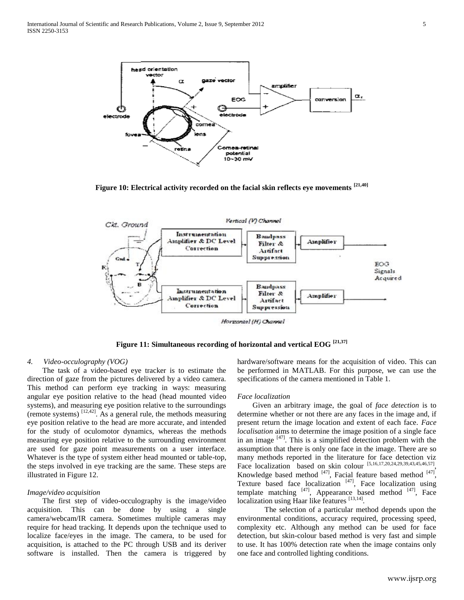

**Figure 10: Electrical activity recorded on the facial skin reflects eye movements [21,40]**



Horzontal (H) Channel

**Figure 11: Simultaneous recording of horizontal and vertical EOG [21,37]**

## *4. Video-occulography (VOG)*

 The task of a video-based eye tracker is to estimate the direction of gaze from the pictures delivered by a video camera. This method can perform eye tracking in ways: measuring angular eye position relative to the head (head mounted video systems), and measuring eye position relative to the surroundings (remote systems)  $^{[12,42]}$ . As a general rule, the methods measuring eye position relative to the head are more accurate, and intended for the study of oculomotor dynamics, whereas the methods measuring eye position relative to the surrounding environment are used for gaze point measurements on a user interface. Whatever is the type of system either head mounted or table-top, the steps involved in eye tracking are the same. These steps are illustrated in Figure 12.

#### *Image/video acquisition*

 The first step of video-occulography is the image/video acquisition. This can be done by using a single camera/webcam/IR camera. Sometimes multiple cameras may require for head tracking. It depends upon the technique used to localize face/eyes in the image. The camera, to be used for acquisition, is attached to the PC through USB and its deriver software is installed. Then the camera is triggered by

hardware/software means for the acquisition of video. This can be performed in MATLAB. For this purpose, we can use the specifications of the camera mentioned in Table 1.

#### *Face localization*

 Given an arbitrary image, the goal of *face detection* is to determine whether or not there are any faces in the image and, if present return the image location and extent of each face. *Face localisation* aims to determine the image position of a single face in an image  $[47]$ . This is a simplified detection problem with the assumption that there is only one face in the image. There are so many methods reported in the literature for face detection viz Face localization based on skin colour  $[5,16,17,20,24,29,39,43,45,46,57]$ , Knowledge based method  $[47]$ , Facial feature based method  $[47]$ , Texture based face localization  $[47]$ , Face localization using template matching  $[47]$ , Appearance based method  $[47]$ , Face localization using Haar like features [13,14].

The selection of a particular method depends upon the environmental conditions, accuracy required, processing speed, complexity etc. Although any method can be used for face detection, but skin-colour based method is very fast and simple to use. It has 100% detection rate when the image contains only one face and controlled lighting conditions.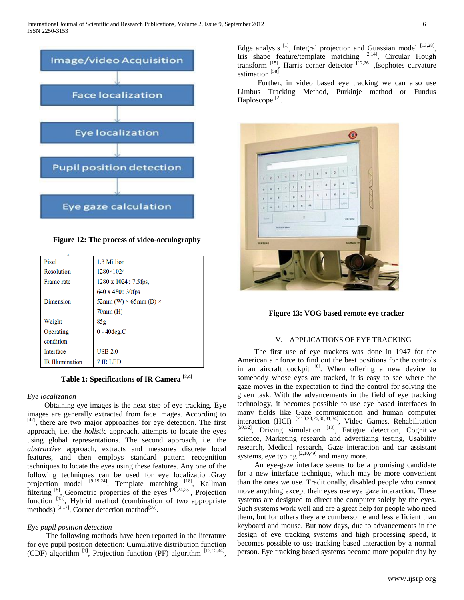

**Figure 12: The process of video-occulography**

| Pixel                  | 1.3 Million                         |
|------------------------|-------------------------------------|
| Resolution             | 1280×1024                           |
| Frame rate             | 1280 x 1024 : 7.5 fps,              |
|                        | 640 x 480: 30fps                    |
| Dimension              | 52mm (W) $\times$ 65mm (D) $\times$ |
|                        | $70mm$ (H)                          |
| Weight                 | 85g                                 |
| Operating              | $0 - 40$ deg. $C$                   |
| condition              |                                     |
| <b>Interface</b>       | <b>USB 2.0</b>                      |
| <b>IR</b> Illumination | <b>IR LED</b>                       |

**Table 1: Specifications of IR Camera [2,4]**

# *Eye localization*

 Obtaining eye images is the next step of eye tracking. Eye images are generally extracted from face images. According to [47], there are two major approaches for eye detection. The first approach, i.e. the *holistic* approach, attempts to locate the eyes using global representations. The second approach, i.e. the *abstractive* approach, extracts and measures discrete local features, and then employs standard pattern recognition techniques to locate the eyes using these features. Any one of the following techniques can be used for eye localization:Gray projection model <sup>[9,19,24]</sup>, Template matching <sup>[18]</sup>, Kallman filtering  $^{[5]}$ , Geometric properties of the eyes  $^{[2\overline{0},24,25]}$ , Projection function<sup>[15]</sup>, Hybrid method (combination of two appropriate methods)  $^{[3,17]}$ , Corner detection method $^{[56]}$ .

# *Eye pupil position detection*

 The following methods have been reported in the literature for eye pupil position detection: Cumulative distribution function (CDF) algorithm  $^{[1]}$ , Projection function (PF) algorithm  $^{[13,15,44]}$ , Edge analysis  $^{[1]}$ , Integral projection and Guassian model  $^{[13,28]}$ , Iris shape feature/template matching [2,14], Circular Hough transform  $^{[15]}$ , Harris corner detector  $^{[12,26]}$ , Isophotes curvature estimation<sup>[58]</sup>.

Further, in video based eye tracking we can also use Limbus Tracking Method, Purkinje method or Fundus Haploscope<sup>[2]</sup>.



**Figure 13: VOG based remote eye tracker**

#### V. APPLICATIONS OF EYE TRACKING

 The first use of eye trackers was done in 1947 for the American air force to find out the best positions for the controls in an aircraft cockpit  $\left[6\right]$ . When offering a new device to somebody whose eyes are tracked, it is easy to see where the gaze moves in the expectation to find the control for solving the given task. With the advancements in the field of eye tracking technology, it becomes possible to use eye based interfaces in many fields like Gaze communication and human computer interaction (HCI) [2,10,23,26,30,31,34], Video Games, Rehabilitation  $[50,52]$ , Driving simulation  $[13]$ , Fatigue detection, Cognitive science, Marketing research and advertizing testing, Usability research, Medical research, Gaze interaction and car assistant systems, eye typing  $[2,10,49]$  and many more.

 An eye-gaze interface seems to be a promising candidate for a new interface technique, which may be more convenient than the ones we use. Traditionally, disabled people who cannot move anything except their eyes use eye gaze interaction. These systems are designed to direct the computer solely by the eyes. Such systems work well and are a great help for people who need them, but for others they are cumbersome and less efficient than keyboard and mouse. But now days, due to advancements in the design of eye tracking systems and high processing speed, it becomes possible to use tracking based interaction by a normal person. Eye tracking based systems become more popular day by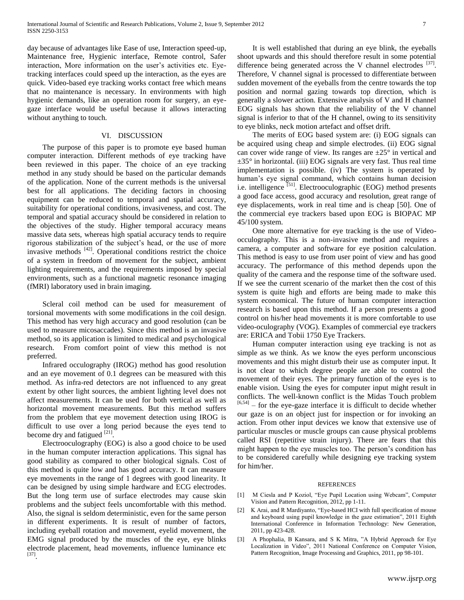day because of advantages like Ease of use, Interaction speed-up, Maintenance free, Hygienic interface, Remote control, Safer interaction, More information on the user's activities etc. Eyetracking interfaces could speed up the interaction, as the eyes are quick. Video-based eye tracking works contact free which means that no maintenance is necessary. In environments with high hygienic demands, like an operation room for surgery, an eyegaze interface would be useful because it allows interacting without anything to touch.

#### VI. DISCUSSION

 The purpose of this paper is to promote eye based human computer interaction. Different methods of eye tracking have been reviewed in this paper. The choice of an eye tracking method in any study should be based on the particular demands of the application. None of the current methods is the universal best for all applications. The deciding factors in choosing equipment can be reduced to temporal and spatial accuracy, suitability for operational conditions, invasiveness, and cost. The temporal and spatial accuracy should be considered in relation to the objectives of the study. Higher temporal accuracy means massive data sets, whereas high spatial accuracy tends to require rigorous stabilization of the subject's head, or the use of more invasive methods [42]. Operational conditions restrict the choice of a system in freedom of movement for the subject, ambient lighting requirements, and the requirements imposed by special environments, such as a functional magnetic resonance imaging (fMRI) laboratory used in brain imaging.

 Scleral coil method can be used for measurement of torsional movements with some modifications in the coil design. This method has very high accuracy and good resolution (can be used to measure micosaccades). Since this method is an invasive method, so its application is limited to medical and psychological research. From comfort point of view this method is not preferred.

 Infrared occulography (IROG) method has good resolution and an eye movement of 0.1 degrees can be measured with this method. As infra-red detectors are not influenced to any great extent by other light sources, the ambient lighting level does not affect measurements. It can be used for both vertical as well as horizontal movement measurements. But this method suffers from the problem that eye movement detection using IROG is difficult to use over a long period because the eyes tend to become dry and fatigued  $^{[21]}$ .

 Electrooculography (EOG) is also a good choice to be used in the human computer interaction applications. This signal has good stability as compared to other biological signals. Cost of this method is quite low and has good accuracy. It can measure eye movements in the range of 1 degrees with good linearity. It can be designed by using simple hardware and ECG electrodes. But the long term use of surface electrodes may cause skin problems and the subject feels uncomfortable with this method. Also, the signal is seldom deterministic, even for the same person in different experiments. It is result of number of factors, including eyeball rotation and movement, eyelid movement, the EMG signal produced by the muscles of the eye, eye blinks electrode placement, head movements, influence luminance etc [37] .

 It is well established that during an eye blink, the eyeballs shoot upwards and this should therefore result in some potential difference being generated across the V channel electrodes [37]. Therefore, V channel signal is processed to differentiate between sudden movement of the eyeballs from the centre towards the top position and normal gazing towards top direction, which is generally a slower action. Extensive analysis of V and H channel EOG signals has shown that the reliability of the V channel signal is inferior to that of the H channel, owing to its sensitivity to eye blinks, neck motion artefact and offset drift.

 The merits of EOG based system are: (i) EOG signals can be acquired using cheap and simple electrodes. (ii) EOG signal can cover wide range of view. Its ranges are  $\pm 25^{\circ}$  in vertical and  $\pm 35^\circ$  in horizontal. (iii) EOG signals are very fast. Thus real time implementation is possible. (iv) The system is operated by human's eye signal command, which contains human decision i.e. intelligence  $^{[51]}$ . Electrooculographic (EOG) method presents a good face access, good accuracy and resolution, great range of eye displacements, work in real time and is cheap [50]. One of the commercial eye trackers based upon EOG is BIOPAC MP 45/100 system.

 One more alternative for eye tracking is the use of Videoocculography. This is a non-invasive method and requires a camera, a computer and software for eye position calculation. This method is easy to use from user point of view and has good accuracy. The performance of this method depends upon the quality of the camera and the response time of the software used. If we see the current scenario of the market then the cost of this system is quite high and efforts are being made to make this system economical. The future of human computer interaction research is based upon this method. If a person presents a good control on his/her head movements it is more comfortable to use video-oculography (VOG). Examples of commercial eye trackers are: ERICA and Tobii 1750 Eye Trackers.

 Human computer interaction using eye tracking is not as simple as we think. As we know the eyes perform unconscious movements and this might disturb their use as computer input. It is not clear to which degree people are able to control the movement of their eyes. The primary function of the eyes is to enable vision. Using the eyes for computer input might result in conflicts. The well-known conflict is the Midas Touch problem  $[6,54]$  – for the eye-gaze interface it is difficult to decide whether our gaze is on an object just for inspection or for invoking an action. From other input devices we know that extensive use of particular muscles or muscle groups can cause physical problems called RSI (repetitive strain injury). There are fears that this might happen to the eye muscles too. The person's condition has to be considered carefully while designing eye tracking system for him/her.

#### REFERENCES

- [1] M Ciesla and P Koziol, "Eye Pupil Location using Webcam", Computer Vision and Pattern Recognition, 2012, pp 1-11.
- [2] K Arai, and R Mardiyanto, "Eye-based HCI with full specification of mouse and keyboard using pupil knowledge in the gaze estimation", 2011 Eighth International Conference in Information Technology: New Generation, 2011, pp 423-428.
- [3] A Phophalia, B Kansara, and S K Mitra, "A Hybrid Approach for Eye Localization in Video", 2011 National Conference on Computer Vision, Pattern Recognition, Image Processing and Graphics, 2011, pp 98-101.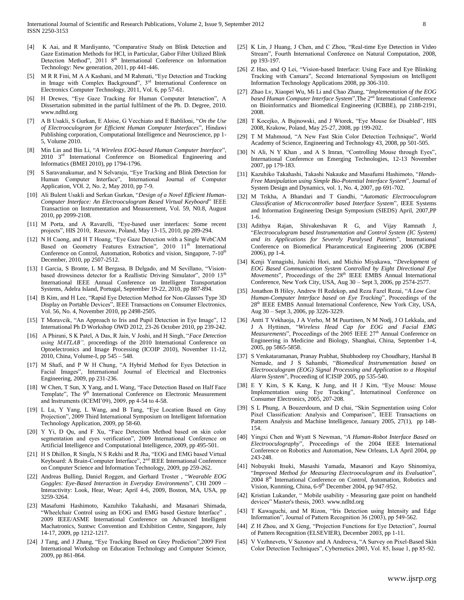- [4] K Aai, and R Mardiyanto, "Comparative Study on Blink Detection and Gaze Estimation Methods for HCI, in Particular, Gabor Filter Utilized Blink Detection Method", 2011 8<sup>th</sup> International Conference on Information Technology: New generation, 2011, pp 441-446.
- [5] M R R Fini, M A A Kashani, and M Rahmati, "Eye Detection and Tracking in Image with Complex Background",  $3<sup>rd</sup>$  International Conference on Electronics Computer Technology, 2011, Vol. 6, pp 57-61.
- [6] H Drewes, "Eye Gaze Tracking for Human Computer Interaction", A Dissertation submitted in the partial fulfilment of the Ph. D. Degree, 2010. [www.ndltd.org](http://www.ndltd.org/)
- [7] A B Usakli, S Gurkan, E Aloise, G Vecchiato and E Babliloni, "*On the Use of Electrooculogram for Efficient Human Computer Interfaces*", Hindawi Publishing corporation, Computational Intelligence and Neuroscience, pp 1- 5, Volume 2010.
- [8] Min Lin and Bin Li, "*A Wireless EOG-based Human Computer Interface*", 2010 3rd International Conference on Biomedical Engineering and Informatics (BMEI 2010), pp 1794-1796.
- [9] S Saravanakumar, and N Selvaraju, "Eye Tracking and Blink Detection for Human Computer Interface", International Journal of Computer Application, VOl. 2, No. 2, May 2010, pp 7-9.
- [10] Ali Bulent Usakli and Serkan Gurkan, "*Design of a Novel Efficient Human-Computer Interface: An Electrooculogram Based Virtual Keyboard*" IEEE Transaction on Instrumentation and Measurement, Vol. 59, N0.8, August 2010, pp 2099-2108.
- [11] M Porta, and A Ravarelli, "Eye-based user interfaces: Some recent projects", HIS 2010, Rzeszow, Poland, May 13-15, 2010, pp 289-294.
- [12] N H Cuong, and H T Hoang, "Eye Gaze Detection with a Single WebCAM Based on Geometry Features Extraction", 2010 11<sup>th</sup> International Conference on Control, Automation, Robotics and vision, Singapore, 7-10<sup>th</sup> December, 2010, pp 2507-2512.
- [13] I Garcia, S Bronte, L M Bergasa, B Delgado, and M Sevillano, "Visionbased drowsiness detector for a Reallistic Driving Simulator", 2010 13<sup>th</sup> International IEEE Annual Conference on Intelligent Transportation Systems, Adelra Island, Portugal, September 19-22, 2010, pp 887-894.
- [14] B Kim, and H Lee, "Rapid Eye Detection Method for Non-Glasses Type 3D Display on Portable Devices", IEEE Transactions on Consumer Electronics, Vol. 56, No. 4, November 2010, pp 2498-2505.
- [15] T Moravcik, "An Approach to Iris and Pupil Detection in Eye Image", 12 International Ph D Workshop OWD 2012, 23-26 October 2010, pp 239-242.
- [16] A Phirani, S K Patel, A Das, R Jain, V Joshi, and H Singh, "*Face Detection using MATLAB",* proceedings of the 2010 International Conference on Optoelectronics and Image Processing (ICOIP 2010), November 11-12, 2010, China, Volume-I, pp 545 – 548.
- [17] M Shafi, and P W H Chung, "A Hybrid Method for Eyes Detection in Facial Images", International Journal of Electrical and Electronics Engineering, 2009, pp 231-236.
- [18] W Chen, T Sun, X Yang, and L Wang, "Face Detection Based on Half Face Template", The 9<sup>th</sup> International Conference on Electronic Measurement and Instruments (ICEMI'09), 2009, pp 4-54 to 4-58.
- [19] L Lu, Y Yang, L Wang, and B Tang, "Eye Location Based on Gray Projection", 2009 Third International Symposium on Intelligent Information Technology Application, 2009, pp 58-60.
- [20] Y Yi, D Qu, and F Xu, "Face Detection Method based on skin color segmentation and eyes verification", 2009 International Conference on Artificial Intelligence and Computational Intelligence, 2009, pp 495-501.
- [21] H S Dhillon, R Singla, N S Rekhi and R Jha, "EOG and EMG based Virtual Keyboard: A Brain-Computer Interface", 2<sup>nd</sup> IEEE International Conference on Computer Science and Information Technology, 2009, pp 259-262.
- [22] Andreas Bulling, Daniel Roggen, and Gerhard Troster , "*Wearable EOG Goggles: Eye-Based Interaction in Everyday Environments*", CHI 2009 – Interactivity: Look, Hear, Wear; April 4-6, 2009, Boston, MA, USA, pp 3259-3264.
- [23] Masafumi Hashimoto, Kazuhiko Takahashi, and Masanari Shimada, "Wheelchair Control using an EOG and EMG based Gesture Interface" , 2009 IEEE/ASME International Conference on Advanced Intelligent Machatronics, Suntwc Convention and Exhibition Centre, Singapore, July 14-17, 2009, pp 1212-1217.
- [24] J Tang, and J Zhang, "Eye Tracking Based on Grey Prediction",2009 First International Workshop on Education Technology and Computer Science, 2009, pp 861-864.
- [25] K Lin, J Huang, J Chen, and C Zhou, "Real-time Eye Detection in Video Stream", Fourth International Conference on Natural Computation, 2008, pp 193-197.
- [26] Z Hao, and Q Lei, "Vision-based Interface: Using Face and Eye Blinking Tracking with Camara", Second International Symposium on Intelligent Information Technology Applications 2008, pp 306-310.
- [27] Zhao Lv, Xiaopei Wu, Mi Li and Chao Zhang, "*Implementation of the EOG based Human Computer Interface System*",The 2nd International Conference on Bioinformatics and Biomedical Engineering (ICBBE), pp 2188-2191, 2008.
- [28] T Kocejko, A Bujnowski, and J Wtorek, "Eye Mouse for Disabled", HIS 2008, Krakow, Poland, May 25-27, 2008, pp 199-202.
- [29] T M Mahmoud, "A New Fast Skin Color Detection Technique", World Academy of Science, Engineering and Technology 43, 2008, pp 501-505.
- [30] N Ali, N Y Khan, and A S Imran, "Controlling Mouse through Eyes", International Conference on Emerging Technologies, 12-13 November 2007, pp 179-183.
- [31] Kazuhiko Takahashi, Takashi Nakauke and Masafumi Hashimoto, "*Hands-Free Manipulation using Simple Bio-Potential Interface System*", Journal of System Design and Dynamics, vol. 1, No. 4, 2007, pp 691-702.
- [32] M Trikha, A Bhandari and T Gandhi, "*Automatic Electrooculogram Classification of Microcontroller based Interface System*", IEEE Systems and Information Engineering Design Symposium (SIEDS) April, 2007,PP 1-6.
- [33] Adithya Rajan, Shivakeshavan R G, and Vijay Ramnath J, "*Electrooculogram based Instrumentation and Control System (IC System) and its Applications for Severely Paralysed Patients*", International Conference on Biomedical Pharamceutical Engineering 2006 (ICBPE 2006), pp 1-4.
- [34] Kenji Yamagishi, Junichi Hori, and Michio Miyakawa, "*Development of EOG Based Communication System Controlled by Eight Directional Eye Movements*", Proceedings of the 28<sup>th</sup> IEEE EMBS Annual International Conference, New York City, USA, Aug 30 – Sept 3, 2006, pp 2574-2577.
- [35] Jonathon B Hiley, Andrew H Redekop, and Reza Fazel Rezai, "*A Low Cost Human-Computer Interface based on Eye Tracking*", Proceedings of the 28th IEEE EMBS Annual International Conference, New York City, USA, Aug 30 – Sept 3, 2006, pp 3226-3229.
- [36] Antti T Vekhaoja, J A Verho, M M Puurtinen, N M Nodj, J O Lekkala, and J A Hyttinen, "*Wireless Head Cap for EOG and Facial EMG Measurements*", Proceedings of the 2005 IEEE 27<sup>th</sup> Annual Conference on Engineering in Medicine and Biology, Shanghai, China, September 1-4, 2005, pp 5865-5858.
- [37] S Venkataramanan, Pranay Prabhat, Shubhodeep roy Choudhary, Harshal B Nemade, and J S Sahambi, "*Biomedical Instrumentation based on Electrooculogram (EOG) Signal Processing and Application to a Hospital Alarm System*", Proceeding of ICISIP 2005, pp 535-540.
- [38] E Y Kim, S K Kang, K Jung, and H J Kim, "Eye Mouse: Mouse Implementation using Eye Tracking", Internatinoal Conference on Consumer Electronics, 2005, 207-208.
- [39] S L Phung, A Bouzerdoum, and D chai, "Skin Segmentation using Color Pixel Classification: Analysis and Comparison", IEEE Transactions on Pattern Analysis and Machine Intelligence, January 2005, 27(1), pp 148- 154.
- [40] Yingxi Chen and Wyatt S Newman, "*A Human-Robot Interface Based on Electrooculography*", Proceedings of the 2004 IEEE International Conference on Robotics and Automation, New Orleans, LA April 2004, pp 243-248.
- [41] Nobuyuki Itsuki, Masashi Yamada, Masanori and Kayo Shinomiya, "*Improved Method for Measuring Electrooculogram and its Evaluation*", 2004 8<sup>th</sup> International Conference on Control, Automation, Robotics and Vision, Kunming, China, 6-9<sup>th</sup> December 2004, pp 947-952.
- [42] Kristian Lukander, "Mobile usability Measuring gaze point on handheld devices" Master's thesis, 2003[. www.ndltd.org](http://www.ndltd.org/)
- [43] T Kawaguchi, and M Rizon, "Iris Detection using Intensity and Edge Information", Journal of Pattern Recognition 36 (2003), pp 549-562.
- [44] Z H Zhou, and X Geng, "Projection Functions for Eye Detection", Journal of Pattern Recognition (ELSEVIER), December 2003, pp 1-11.
- [45] V Vezhnevets, V Sazonov and A Andreeva, "A Survey on Pixel-Based Skin Color Detection Techniques", Cybernetics 2003, Vol. 85, Issue 1, pp 85-92.